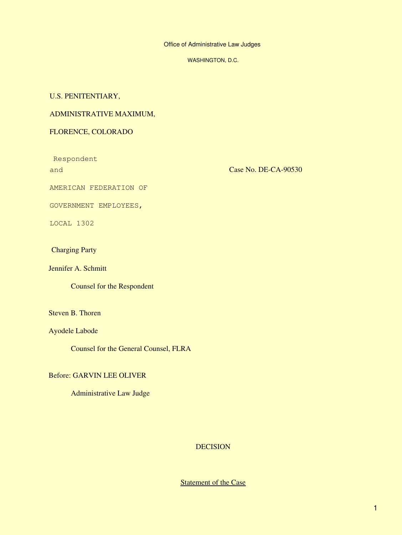Office of Administrative Law Judges

WASHINGTON, D.C.

## U.S. PENITENTIARY,

## ADMINISTRATIVE MAXIMUM,

## FLORENCE, COLORADO

Respondent and

Case No. DE-CA-90530

AMERICAN FEDERATION OF

GOVERNMENT EMPLOYEES,

LOCAL 1302

# Charging Party

Jennifer A. Schmitt

Counsel for the Respondent

Steven B. Thoren

Ayodele Labode

Counsel for the General Counsel, FLRA

## Before: GARVIN LEE OLIVER

Administrative Law Judge

# **DECISION**

## **Statement of the Case**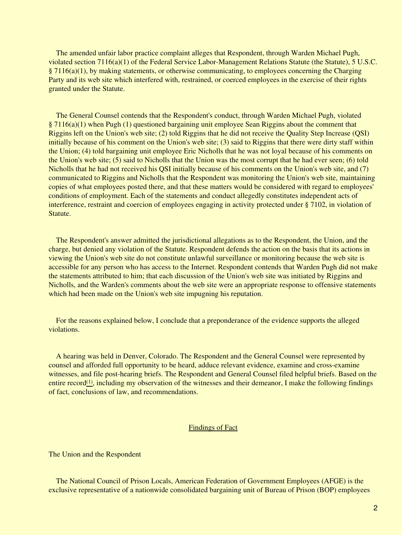The amended unfair labor practice complaint alleges that Respondent, through Warden Michael Pugh, violated section 7116(a)(1) of the Federal Service Labor-Management Relations Statute (the Statute), 5 U.S.C. § 7116(a)(1), by making statements, or otherwise communicating, to employees concerning the Charging Party and its web site which interfered with, restrained, or coerced employees in the exercise of their rights granted under the Statute.

 The General Counsel contends that the Respondent's conduct, through Warden Michael Pugh, violated § 7116(a)(1) when Pugh (1) questioned bargaining unit employee Sean Riggins about the comment that Riggins left on the Union's web site; (2) told Riggins that he did not receive the Quality Step Increase (QSI) initially because of his comment on the Union's web site; (3) said to Riggins that there were dirty staff within the Union; (4) told bargaining unit employee Eric Nicholls that he was not loyal because of his comments on the Union's web site; (5) said to Nicholls that the Union was the most corrupt that he had ever seen; (6) told Nicholls that he had not received his QSI initially because of his comments on the Union's web site, and (7) communicated to Riggins and Nicholls that the Respondent was monitoring the Union's web site, maintaining copies of what employees posted there, and that these matters would be considered with regard to employees' conditions of employment. Each of the statements and conduct allegedly constitutes independent acts of interference, restraint and coercion of employees engaging in activity protected under § 7102, in violation of Statute.

 The Respondent's answer admitted the jurisdictional allegations as to the Respondent, the Union, and the charge, but denied any violation of the Statute. Respondent defends the action on the basis that its actions in viewing the Union's web site do not constitute unlawful surveillance or monitoring because the web site is accessible for any person who has access to the Internet. Respondent contends that Warden Pugh did not make the statements attributed to him; that each discussion of the Union's web site was initiated by Riggins and Nicholls, and the Warden's comments about the web site were an appropriate response to offensive statements which had been made on the Union's web site impugning his reputation.

 For the reasons explained below, I conclude that a preponderance of the evidence supports the alleged violations.

 A hearing was held in Denver, Colorado. The Respondent and the General Counsel were represented by counsel and afforded full opportunity to be heard, adduce relevant evidence, examine and cross-examine witnesses, and file post-hearing briefs. The Respondent and General Counsel filed helpful briefs. Based on the entire record $(1)$ , including my observation of the witnesses and their demeanor, I make the following findings of fact, conclusions of law, and recommendations.

## Findings of Fact

The Union and the Respondent

 The National Council of Prison Locals, American Federation of Government Employees (AFGE) is the exclusive representative of a nationwide consolidated bargaining unit of Bureau of Prison (BOP) employees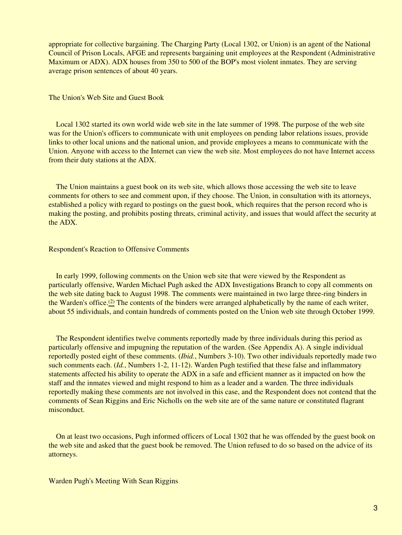appropriate for collective bargaining. The Charging Party (Local 1302, or Union) is an agent of the National Council of Prison Locals, AFGE and represents bargaining unit employees at the Respondent (Administrative Maximum or ADX). ADX houses from 350 to 500 of the BOP's most violent inmates. They are serving average prison sentences of about 40 years.

#### The Union's Web Site and Guest Book

 Local 1302 started its own world wide web site in the late summer of 1998. The purpose of the web site was for the Union's officers to communicate with unit employees on pending labor relations issues, provide links to other local unions and the national union, and provide employees a means to communicate with the Union. Anyone with access to the Internet can view the web site. Most employees do not have Internet access from their duty stations at the ADX.

 The Union maintains a guest book on its web site, which allows those accessing the web site to leave comments for others to see and comment upon, if they choose. The Union, in consultation with its attorneys, established a policy with regard to postings on the guest book, which requires that the person record who is making the posting, and prohibits posting threats, criminal activity, and issues that would affect the security at the ADX.

### Respondent's Reaction to Offensive Comments

 In early 1999, following comments on the Union web site that were viewed by the Respondent as particularly offensive, Warden Michael Pugh asked the ADX Investigations Branch to copy all comments on the web site dating back to August 1998. The comments were maintained in two large three-ring binders in the Warden's office.[\(2\)](#page-12-1) The contents of the binders were arranged alphabetically by the name of each writer, about 55 individuals, and contain hundreds of comments posted on the Union web site through October 1999.

 The Respondent identifies twelve comments reportedly made by three individuals during this period as particularly offensive and impugning the reputation of the warden. (See Appendix A). A single individual reportedly posted eight of these comments. (*Ibid.*, Numbers 3-10). Two other individuals reportedly made two such comments each. (*Id.*, Numbers 1-2, 11-12). Warden Pugh testified that these false and inflammatory statements affected his ability to operate the ADX in a safe and efficient manner as it impacted on how the staff and the inmates viewed and might respond to him as a leader and a warden. The three individuals reportedly making these comments are not involved in this case, and the Respondent does not contend that the comments of Sean Riggins and Eric Nicholls on the web site are of the same nature or constituted flagrant misconduct.

 On at least two occasions, Pugh informed officers of Local 1302 that he was offended by the guest book on the web site and asked that the guest book be removed. The Union refused to do so based on the advice of its attorneys.

Warden Pugh's Meeting With Sean Riggins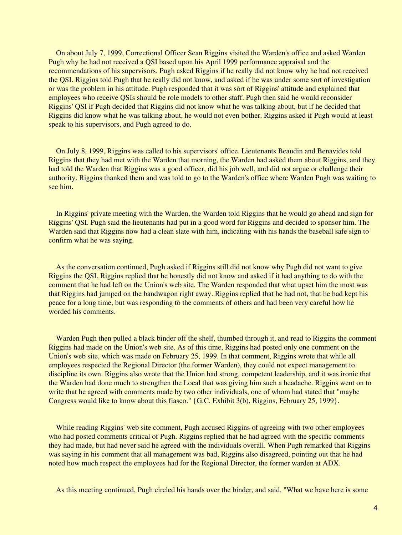On about July 7, 1999, Correctional Officer Sean Riggins visited the Warden's office and asked Warden Pugh why he had not received a QSI based upon his April 1999 performance appraisal and the recommendations of his supervisors. Pugh asked Riggins if he really did not know why he had not received the QSI. Riggins told Pugh that he really did not know, and asked if he was under some sort of investigation or was the problem in his attitude. Pugh responded that it was sort of Riggins' attitude and explained that employees who receive QSIs should be role models to other staff. Pugh then said he would reconsider Riggins' QSI if Pugh decided that Riggins did not know what he was talking about, but if he decided that Riggins did know what he was talking about, he would not even bother. Riggins asked if Pugh would at least speak to his supervisors, and Pugh agreed to do.

 On July 8, 1999, Riggins was called to his supervisors' office. Lieutenants Beaudin and Benavides told Riggins that they had met with the Warden that morning, the Warden had asked them about Riggins, and they had told the Warden that Riggins was a good officer, did his job well, and did not argue or challenge their authority. Riggins thanked them and was told to go to the Warden's office where Warden Pugh was waiting to see him.

 In Riggins' private meeting with the Warden, the Warden told Riggins that he would go ahead and sign for Riggins' QSI. Pugh said the lieutenants had put in a good word for Riggins and decided to sponsor him. The Warden said that Riggins now had a clean slate with him, indicating with his hands the baseball safe sign to confirm what he was saying.

 As the conversation continued, Pugh asked if Riggins still did not know why Pugh did not want to give Riggins the QSI. Riggins replied that he honestly did not know and asked if it had anything to do with the comment that he had left on the Union's web site. The Warden responded that what upset him the most was that Riggins had jumped on the bandwagon right away. Riggins replied that he had not, that he had kept his peace for a long time, but was responding to the comments of others and had been very careful how he worded his comments.

Warden Pugh then pulled a black binder off the shelf, thumbed through it, and read to Riggins the comment Riggins had made on the Union's web site. As of this time, Riggins had posted only one comment on the Union's web site, which was made on February 25, 1999. In that comment, Riggins wrote that while all employees respected the Regional Director (the former Warden), they could not expect management to discipline its own. Riggins also wrote that the Union had strong, competent leadership, and it was ironic that the Warden had done much to strengthen the Local that was giving him such a headache. Riggins went on to write that he agreed with comments made by two other individuals, one of whom had stated that "maybe Congress would like to know about this fiasco." {G.C. Exhibit 3(b), Riggins, February 25, 1999}.

While reading Riggins' web site comment, Pugh accused Riggins of agreeing with two other employees who had posted comments critical of Pugh. Riggins replied that he had agreed with the specific comments they had made, but had never said he agreed with the individuals overall. When Pugh remarked that Riggins was saying in his comment that all management was bad, Riggins also disagreed, pointing out that he had noted how much respect the employees had for the Regional Director, the former warden at ADX.

As this meeting continued, Pugh circled his hands over the binder, and said, "What we have here is some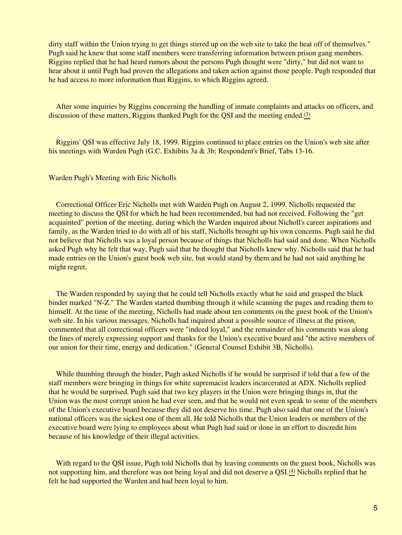dirty staff within the Union trying to get things stirred up on the web site to take the heat off of themselves." Pugh said he knew that some staff members were transferring information between prison gang members. Riggins replied that he had heard rumors about the persons Pugh thought were "dirty," but did not want to hear about it until Pugh had proven the allegations and taken action against those people. Pugh responded that he had access to more information than Riggins, to which Riggins agreed.

 After some inquiries by Riggins concerning the handling of inmate complaints and attacks on officers, and discussion of these matters, Riggins thanked Pugh for the QSI and the meeting ended.<sup>[\(3\)](#page-12-2)</sup>

 Riggins' QSI was effective July 18, 1999. Riggins continued to place entries on the Union's web site after his meetings with Warden Pugh (G.C. Exhibits 3a & 3b; Respondent's Brief, Tabs 13-16.

## Warden Pugh's Meeting with Eric Nicholls

 Correctional Officer Eric Nicholls met with Warden Pugh on August 2, 1999. Nicholls requested the meeting to discuss the QSI for which he had been recommended, but had not received. Following the "get acquainted" portion of the meeting, during which the Warden inquired about Nicholl's career aspirations and family, as the Warden tried to do with all of his staff, Nicholls brought up his own concerns. Pugh said he did not believe that Nicholls was a loyal person because of things that Nicholls had said and done. When Nicholls asked Pugh why he felt that way, Pugh said that he thought that Nicholls knew why. Nicholls said that he had made entries on the Union's guest book web site, but would stand by them and he had not said anything he might regret.

 The Warden responded by saying that he could tell Nicholls exactly what he said and grasped the black binder marked "N-Z." The Warden started thumbing through it while scanning the pages and reading them to himself. At the time of the meeting, Nicholls had made about ten comments on the guest book of the Union's web site. In his various messages, Nicholls had inquired about a possible source of illness at the prison, commented that all correctional officers were "indeed loyal," and the remainder of his comments was along the lines of merely expressing support and thanks for the Union's executive board and "the active members of our union for their time, energy and dedication." (General Counsel Exhibit 3B, Nicholls).

While thumbing through the binder, Pugh asked Nicholls if he would be surprised if told that a few of the staff members were bringing in things for white supremacist leaders incarcerated at ADX. Nicholls replied that he would be surprised. Pugh said that two key players in the Union were bringing things in, that the Union was the most corrupt union he had ever seen, and that he would not even speak to some of the members of the Union's executive board because they did not deserve his time. Pugh also said that one of the Union's national officers was the sickest one of them all. He told Nicholls that the Union leaders or members of the executive board were lying to employees about what Pugh had said or done in an effort to discredit him because of his knowledge of their illegal activities.

With regard to the QSI issue, Pugh told Nicholls that by leaving comments on the guest book, Nicholls was not supporting him, and therefore was not being loyal and did not deserve a QSI.<sup>[\(4\)](#page-12-3)</sup> Nicholls replied that he felt he had supported the Warden and had been loyal to him.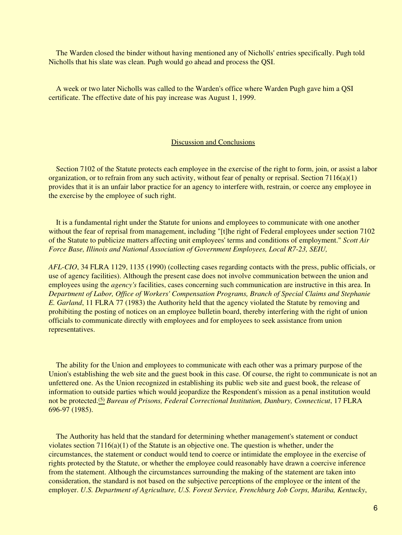The Warden closed the binder without having mentioned any of Nicholls' entries specifically. Pugh told Nicholls that his slate was clean. Pugh would go ahead and process the QSI.

 A week or two later Nicholls was called to the Warden's office where Warden Pugh gave him a QSI certificate. The effective date of his pay increase was August 1, 1999.

#### Discussion and Conclusions

Section 7102 of the Statute protects each employee in the exercise of the right to form, join, or assist a labor organization, or to refrain from any such activity, without fear of penalty or reprisal. Section  $7116(a)(1)$ provides that it is an unfair labor practice for an agency to interfere with, restrain, or coerce any employee in the exercise by the employee of such right.

 It is a fundamental right under the Statute for unions and employees to communicate with one another without the fear of reprisal from management, including "[t]he right of Federal employees under section 7102 of the Statute to publicize matters affecting unit employees' terms and conditions of employment." *Scott Air Force Base, Illinois and National Association of Government Employees, Local R7-23, SEIU,*

*AFL-CIO*, 34 FLRA 1129, 1135 (1990) (collecting cases regarding contacts with the press, public officials, or use of agency facilities). Although the present case does not involve communication between the union and employees using the *agency's* facilities, cases concerning such communication are instructive in this area. In *Department of Labor, Office of Workers' Compensation Programs, Branch of Special Claims and Stephanie E. Garland*, 11 FLRA 77 (1983) the Authority held that the agency violated the Statute by removing and prohibiting the posting of notices on an employee bulletin board, thereby interfering with the right of union officials to communicate directly with employees and for employees to seek assistance from union representatives.

 The ability for the Union and employees to communicate with each other was a primary purpose of the Union's establishing the web site and the guest book in this case. Of course, the right to communicate is not an unfettered one. As the Union recognized in establishing its public web site and guest book, the release of information to outside parties which would jeopardize the Respondent's mission as a penal institution would not be protected.[\(5\)](#page-12-4) *Bureau of Prisons, Federal Correctional Institution, Danbury, Connecticut*, 17 FLRA 696-97 (1985).

 The Authority has held that the standard for determining whether management's statement or conduct violates section 7116(a)(1) of the Statute is an objective one. The question is whether, under the circumstances, the statement or conduct would tend to coerce or intimidate the employee in the exercise of rights protected by the Statute, or whether the employee could reasonably have drawn a coercive inference from the statement. Although the circumstances surrounding the making of the statement are taken into consideration, the standard is not based on the subjective perceptions of the employee or the intent of the employer. *U.S. Department of Agriculture, U.S. Forest Service, Frenchburg Job Corps, Mariba, Kentucky*,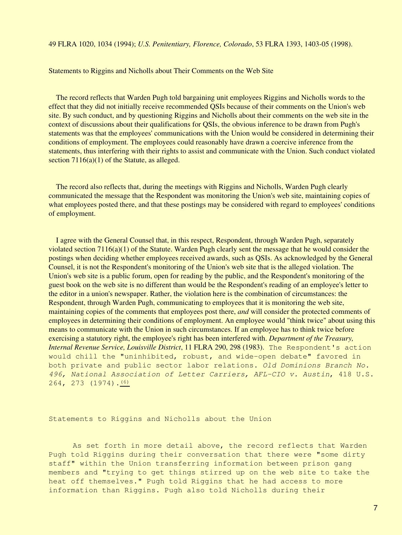Statements to Riggins and Nicholls about Their Comments on the Web Site

 The record reflects that Warden Pugh told bargaining unit employees Riggins and Nicholls words to the effect that they did not initially receive recommended QSIs because of their comments on the Union's web site. By such conduct, and by questioning Riggins and Nicholls about their comments on the web site in the context of discussions about their qualifications for QSIs, the obvious inference to be drawn from Pugh's statements was that the employees' communications with the Union would be considered in determining their conditions of employment. The employees could reasonably have drawn a coercive inference from the statements, thus interfering with their rights to assist and communicate with the Union. Such conduct violated section 7116(a)(1) of the Statute, as alleged.

 The record also reflects that, during the meetings with Riggins and Nicholls, Warden Pugh clearly communicated the message that the Respondent was monitoring the Union's web site, maintaining copies of what employees posted there, and that these postings may be considered with regard to employees' conditions of employment.

 I agree with the General Counsel that, in this respect, Respondent, through Warden Pugh, separately violated section 7116(a)(1) of the Statute. Warden Pugh clearly sent the message that he would consider the postings when deciding whether employees received awards, such as QSIs. As acknowledged by the General Counsel, it is not the Respondent's monitoring of the Union's web site that is the alleged violation. The Union's web site is a public forum, open for reading by the public, and the Respondent's monitoring of the guest book on the web site is no different than would be the Respondent's reading of an employee's letter to the editor in a union's newspaper. Rather, the violation here is the combination of circumstances: the Respondent, through Warden Pugh, communicating to employees that it is monitoring the web site, maintaining copies of the comments that employees post there, *and* will consider the protected comments of employees in determining their conditions of employment. An employee would "think twice" about using this means to communicate with the Union in such circumstances. If an employee has to think twice before exercising a statutory right, the employee's right has been interfered with. *Department of the Treasury, Internal Revenue Service, Louisville District*, 11 FLRA 290, 298 (1983). The Respondent's action would chill the "uninhibited, robust, and wide-open debate" favored in both private and public sector labor relations. *Old Dominions Branch No. 496, National Association of Letter Carriers, AFL-CIO v. Austin*, 418 U.S.  $264, 273 (1974) \cdot \frac{(6)}{6}$  $264, 273 (1974) \cdot \frac{(6)}{6}$  $264, 273 (1974) \cdot \frac{(6)}{6}$ 

Statements to Riggins and Nicholls about the Union

 As set forth in more detail above, the record reflects that Warden Pugh told Riggins during their conversation that there were "some dirty staff" within the Union transferring information between prison gang members and "trying to get things stirred up on the web site to take the heat off themselves." Pugh told Riggins that he had access to more information than Riggins. Pugh also told Nicholls during their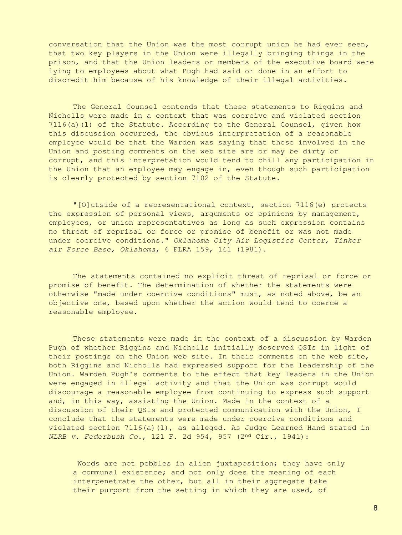conversation that the Union was the most corrupt union he had ever seen, that two key players in the Union were illegally bringing things in the prison, and that the Union leaders or members of the executive board were lying to employees about what Pugh had said or done in an effort to discredit him because of his knowledge of their illegal activities.

 The General Counsel contends that these statements to Riggins and Nicholls were made in a context that was coercive and violated section  $7116(a)(1)$  of the Statute. According to the General Counsel, given how this discussion occurred, the obvious interpretation of a reasonable employee would be that the Warden was saying that those involved in the Union and posting comments on the web site are or may be dirty or corrupt, and this interpretation would tend to chill any participation in the Union that an employee may engage in, even though such participation is clearly protected by section 7102 of the Statute.

 "[O]utside of a representational context, section 7116(e) protects the expression of personal views, arguments or opinions by management, employees, or union representatives as long as such expression contains no threat of reprisal or force or promise of benefit or was not made under coercive conditions." *Oklahoma City Air Logistics Center, Tinker air Force Base, Oklahoma*, 6 FLRA 159, 161 (1981).

 The statements contained no explicit threat of reprisal or force or promise of benefit. The determination of whether the statements were otherwise "made under coercive conditions" must, as noted above, be an objective one, based upon whether the action would tend to coerce a reasonable employee.

 These statements were made in the context of a discussion by Warden Pugh of whether Riggins and Nicholls initially deserved QSIs in light of their postings on the Union web site. In their comments on the web site, both Riggins and Nicholls had expressed support for the leadership of the Union. Warden Pugh's comments to the effect that key leaders in the Union were engaged in illegal activity and that the Union was corrupt would discourage a reasonable employee from continuing to express such support and, in this way, assisting the Union. Made in the context of a discussion of their QSIs and protected communication with the Union, I conclude that the statements were made under coercive conditions and violated section 7116(a)(1), as alleged. As Judge Learned Hand stated in *NLRB v. Federbush Co*., 121 F. 2d 954, 957 (2nd Cir., 194l):

Words are not pebbles in alien juxtaposition; they have only a communal existence; and not only does the meaning of each interpenetrate the other, but all in their aggregate take their purport from the setting in which they are used, of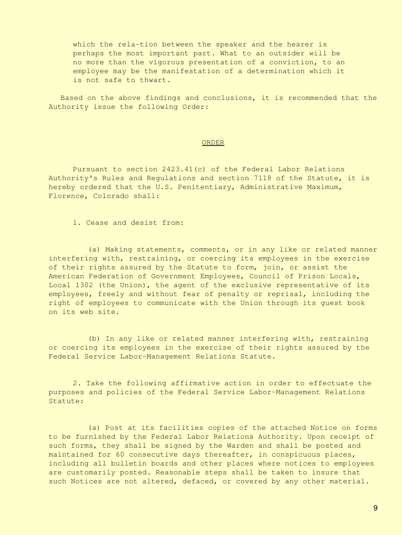which the rela-tion between the speaker and the hearer is perhaps the most important part. What to an outsider will be no more than the vigorous presentation of a conviction, to an employee may be the manifestation of a determination which it is not safe to thwart.

 Based on the above findings and conclusions, it is recommended that the Authority issue the following Order:

#### ORDER

 Pursuant to section 2423.41(c) of the Federal Labor Relations Authority's Rules and Regulations and section 7118 of the Statute, it is hereby ordered that the U.S. Penitentiary, Administrative Maximum, Florence, Colorado shall:

1. Cease and desist from:

 (a) Making statements, comments, or in any like or related manner interfering with, restraining, or coercing its employees in the exercise of their rights assured by the Statute to form, join, or assist the American Federation of Government Employees, Council of Prison Locals, Local 1302 (the Union), the agent of the exclusive representative of its employees, freely and without fear of penalty or reprisal, including the right of employees to communicate with the Union through its guest book on its web site.

 (b) In any like or related manner interfering with, restraining or coercing its employees in the exercise of their rights assured by the Federal Service Labor-Management Relations Statute.

 2. Take the following affirmative action in order to effectuate the purposes and policies of the Federal Service Labor-Management Relations Statute:

 (a) Post at its facilities copies of the attached Notice on forms to be furnished by the Federal Labor Relations Authority. Upon receipt of such forms, they shall be signed by the Warden and shall be posted and maintained for 60 consecutive days thereafter, in conspicuous places, including all bulletin boards and other places where notices to employees are customarily posted. Reasonable steps shall be taken to insure that such Notices are not altered, defaced, or covered by any other material.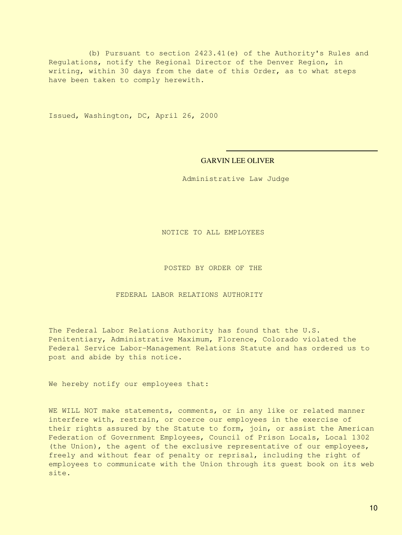(b) Pursuant to section 2423.41(e) of the Authority's Rules and Regulations, notify the Regional Director of the Denver Region, in writing, within 30 days from the date of this Order, as to what steps have been taken to comply herewith.

Issued, Washington, DC, April 26, 2000

#### GARVIN LEE OLIVER

Administrative Law Judge

NOTICE TO ALL EMPLOYEES

POSTED BY ORDER OF THE

FEDERAL LABOR RELATIONS AUTHORITY

The Federal Labor Relations Authority has found that the U.S. Penitentiary, Administrative Maximum, Florence, Colorado violated the Federal Service Labor-Management Relations Statute and has ordered us to post and abide by this notice.

We hereby notify our employees that:

WE WILL NOT make statements, comments, or in any like or related manner interfere with, restrain, or coerce our employees in the exercise of their rights assured by the Statute to form, join, or assist the American Federation of Government Employees, Council of Prison Locals, Local 1302 (the Union), the agent of the exclusive representative of our employees, freely and without fear of penalty or reprisal, including the right of employees to communicate with the Union through its guest book on its web site.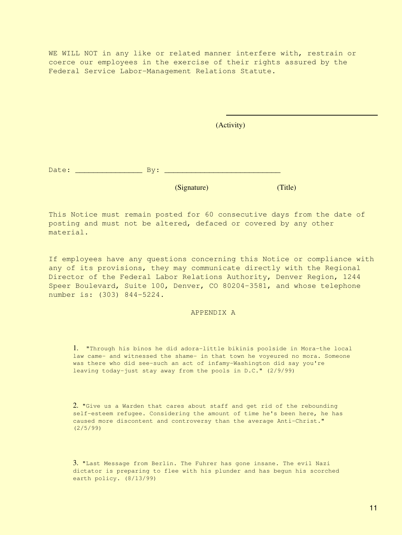WE WILL NOT in any like or related manner interfere with, restrain or coerce our employees in the exercise of their rights assured by the Federal Service Labor-Management Relations Statute.

(Activity)

Date: \_\_\_\_\_\_\_\_\_\_\_\_\_\_\_ By: \_\_\_\_\_\_\_\_\_\_\_\_\_\_\_\_\_\_\_\_\_\_\_\_\_\_

(Signature) (Title)

This Notice must remain posted for 60 consecutive days from the date of posting and must not be altered, defaced or covered by any other material.

If employees have any questions concerning this Notice or compliance with any of its provisions, they may communicate directly with the Regional Director of the Federal Labor Relations Authority, Denver Region, 1244 Speer Boulevard, Suite 100, Denver, CO 80204-3581, and whose telephone number is: (303) 844-5224.

#### APPENDIX A

1. "Through his binos he did adora-little bikinis poolside in Mora-the local law came- and witnessed the shame- in that town he voyeured no mora. Someone was there who did see-such an act of infamy-Washington did say you're leaving today-just stay away from the pools in D.C." (2/9/99)

2. "Give us a Warden that cares about staff and get rid of the rebounding self-esteem refugee. Considering the amount of time he's been here, he has caused more discontent and controversy than the average Anti-Christ." (2/5/99)

3. "Last Message from Berlin. The Fuhrer has gone insane. The evil Nazi dictator is preparing to flee with his plunder and has begun his scorched earth policy. (8/13/99)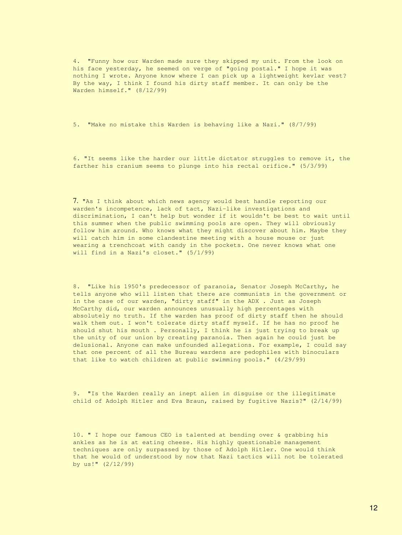4. "Funny how our Warden made sure they skipped my unit. From the look on his face yesterday, he seemed on verge of "going postal." I hope it was nothing I wrote. Anyone know where I can pick up a lightweight kevlar vest? By the way, I think I found his dirty staff member. It can only be the Warden himself." (8/12/99)

5. "Make no mistake this Warden is behaving like a Nazi." (8/7/99)

6. "It seems like the harder our little dictator struggles to remove it, the farther his cranium seems to plunge into his rectal orifice." (5/3/99)

7. "As I think about which news agency would best handle reporting our warden's incompetence, lack of tact, Nazi-like investigations and discrimination, I can't help but wonder if it wouldn't be best to wait until this summer when the public swimming pools are open. They will obviously follow him around. Who knows what they might discover about him. Maybe they will catch him in some clandestine meeting with a house mouse or just wearing a trenchcoat with candy in the pockets. One never knows what one will find in a Nazi's closet." (5/1/99)

8. "Like his 1950's predecessor of paranoia, Senator Joseph McCarthy, he tells anyone who will listen that there are communists in the government or in the case of our warden, "dirty staff" in the ADX . Just as Joseph McCarthy did, our warden announces unusually high percentages with absolutely no truth. If the warden has proof of dirty staff then he should walk them out. I won't tolerate dirty staff myself. If he has no proof he should shut his mouth . Personally, I think he is just trying to break up the unity of our union by creating paranoia. Then again he could just be delusional. Anyone can make unfounded allegations. For example, I could say that one percent of all the Bureau wardens are pedophiles with binoculars that like to watch children at public swimming pools." (4/29/99)

9. "Is the Warden really an inept alien in disguise or the illegitimate child of Adolph Hitler and Eva Braun, raised by fugitive Nazis?" (2/14/99)

10. " I hope our famous CEO is talented at bending over & grabbing his ankles as he is at eating cheese. His highly questionable management techniques are only surpassed by those of Adolph Hitler. One would think that he would of understood by now that Nazi tactics will not be tolerated by us!" (2/12/99)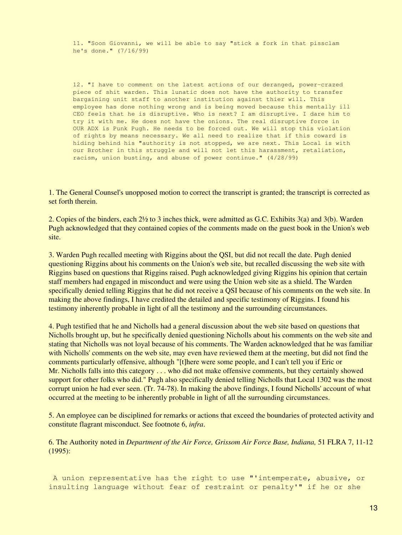11. "Soon Giovanni, we will be able to say "stick a fork in that pissclam he's done." (7/16/99)

12. "I have to comment on the latest actions of our deranged, power-crazed piece of shit warden. This lunatic does not have the authority to transfer bargaining unit staff to another institution against thier will. This employee has done nothing wrong and is being moved because this mentally ill CEO feels that he is disruptive. Who is next? I am disruptive. I dare him to try it with me. He does not have the onions. The real disruptive force in OUR ADX is Punk Pugh. He needs to be forced out. We will stop this violation of rights by means necessary. We all need to realize that if this coward is hiding behind his "authority is not stopped, we are next. This Local is with our Brother in this struggle and will not let this harassment, retaliation, racism, union busting, and abuse of power continue." (4/28/99)

<span id="page-12-0"></span>1. The General Counsel's unopposed motion to correct the transcript is granted; the transcript is corrected as set forth therein.

<span id="page-12-1"></span>2. Copies of the binders, each 2½ to 3 inches thick, were admitted as G.C. Exhibits 3(a) and 3(b). Warden Pugh acknowledged that they contained copies of the comments made on the guest book in the Union's web site.

<span id="page-12-2"></span>3. Warden Pugh recalled meeting with Riggins about the QSI, but did not recall the date. Pugh denied questioning Riggins about his comments on the Union's web site, but recalled discussing the web site with Riggins based on questions that Riggins raised. Pugh acknowledged giving Riggins his opinion that certain staff members had engaged in misconduct and were using the Union web site as a shield. The Warden specifically denied telling Riggins that he did not receive a QSI because of his comments on the web site. In making the above findings, I have credited the detailed and specific testimony of Riggins. I found his testimony inherently probable in light of all the testimony and the surrounding circumstances.

<span id="page-12-3"></span>4. Pugh testified that he and Nicholls had a general discussion about the web site based on questions that Nicholls brought up, but he specifically denied questioning Nicholls about his comments on the web site and stating that Nicholls was not loyal because of his comments. The Warden acknowledged that he was familiar with Nicholls' comments on the web site, may even have reviewed them at the meeting, but did not find the comments particularly offensive, although "[t]here were some people, and I can't tell you if Eric or Mr. Nicholls falls into this category . . . who did not make offensive comments, but they certainly showed support for other folks who did." Pugh also specifically denied telling Nicholls that Local 1302 was the most corrupt union he had ever seen. (Tr. 74-78). In making the above findings, I found Nicholls' account of what occurred at the meeting to be inherently probable in light of all the surrounding circumstances.

<span id="page-12-4"></span>5. An employee can be disciplined for remarks or actions that exceed the boundaries of protected activity and constitute flagrant misconduct. See footnote 6, *infra*.

<span id="page-12-5"></span>6. The Authority noted in *Department of the Air Force, Grissom Air Force Base, Indiana,* 51 FLRA 7, 11-12 (1995):

 A union representative has the right to use "'intemperate, abusive, or insulting language without fear of restraint or penalty'" if he or she